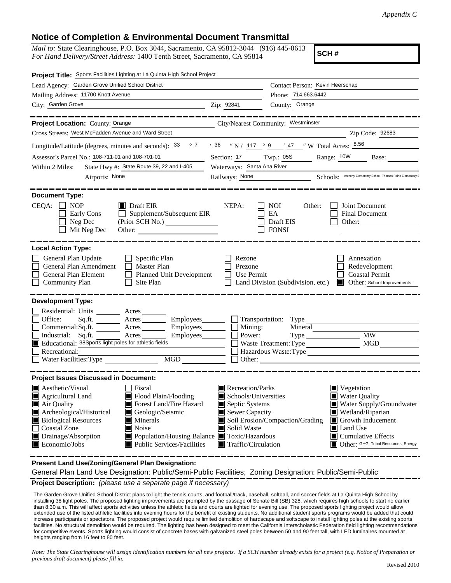## **Notice of Completion & Environmental Document Transmittal**

*Mail to:* State Clearinghouse, P.O. Box 3044, Sacramento, CA 95812-3044 (916) 445-0613 *For Hand Delivery/Street Address:* 1400 Tenth Street, Sacramento, CA 95814

**SCH #**

| Project Title: Sports Facilities Lighting at La Quinta High School Project                                                                                                                                                                                                                                                                                                                                                |                                                                                                                    |                                                        |                                                                                                                                                                                                                            |
|---------------------------------------------------------------------------------------------------------------------------------------------------------------------------------------------------------------------------------------------------------------------------------------------------------------------------------------------------------------------------------------------------------------------------|--------------------------------------------------------------------------------------------------------------------|--------------------------------------------------------|----------------------------------------------------------------------------------------------------------------------------------------------------------------------------------------------------------------------------|
| Lead Agency: Garden Grove Unified School District                                                                                                                                                                                                                                                                                                                                                                         |                                                                                                                    | Contact Person: Kevin Heerschap                        |                                                                                                                                                                                                                            |
| Mailing Address: 11700 Knott Avenue                                                                                                                                                                                                                                                                                                                                                                                       |                                                                                                                    | Phone: 714.663.6442                                    |                                                                                                                                                                                                                            |
| City: Garden Grove<br><u>2</u> Zip: 92841                                                                                                                                                                                                                                                                                                                                                                                 |                                                                                                                    | County: Orange                                         |                                                                                                                                                                                                                            |
| -----------<br>Project Location: County: Orange<br>City/Nearest Community: Westminster                                                                                                                                                                                                                                                                                                                                    |                                                                                                                    |                                                        |                                                                                                                                                                                                                            |
| Cross Streets: West McFadden Avenue and Ward Street                                                                                                                                                                                                                                                                                                                                                                       |                                                                                                                    |                                                        | Zip Code: 92683                                                                                                                                                                                                            |
| Longitude/Latitude (degrees, minutes and seconds): $\frac{33}{2}$ $\frac{7}{2}$ $\frac{7}{2}$ $\frac{36}{2}$ $\frac{7}{2}$ N / $\frac{117}{2}$ $\frac{9}{2}$ $\frac{9}{2}$ $\frac{47}{2}$ W Total Acres: $\frac{8.56}{2}$                                                                                                                                                                                                 |                                                                                                                    |                                                        |                                                                                                                                                                                                                            |
| Assessor's Parcel No.: 108-711-01 and 108-701-01<br>$\overline{\phantom{a}}$                                                                                                                                                                                                                                                                                                                                              | Twp.: 05S<br>Range: 10W Base:<br>Section: 17<br>Waterways: Santa Ana River                                         |                                                        |                                                                                                                                                                                                                            |
| State Hwy #: State Route 39, 22 and I-405<br>Within 2 Miles:                                                                                                                                                                                                                                                                                                                                                              |                                                                                                                    |                                                        |                                                                                                                                                                                                                            |
| Airports: None<br><u> 1990 - Johann Barbara, politik eta politik eta politik eta politik eta politik eta politik eta politik eta p</u> o                                                                                                                                                                                                                                                                                  | Railways: None Schools: Anthony Elementary School, Thomas Paine Elementary School, Thomas Paine Elementary         |                                                        |                                                                                                                                                                                                                            |
| <b>Document Type:</b>                                                                                                                                                                                                                                                                                                                                                                                                     |                                                                                                                    |                                                        |                                                                                                                                                                                                                            |
| $CEQA: \Box NP$<br>$\blacksquare$ Draft EIR<br>Early Cons<br>$\Box$ Supplement/Subsequent EIR<br>Neg Dec<br>Mit Neg Dec<br>Other:                                                                                                                                                                                                                                                                                         | NEPA:                                                                                                              | $\Box$ NOI<br>Other:<br>□ EA<br>□ Draft EIS<br>□ FONSI | Joint Document<br>Final Document<br>Other: $\qquad \qquad$                                                                                                                                                                 |
| <b>Local Action Type:</b>                                                                                                                                                                                                                                                                                                                                                                                                 |                                                                                                                    |                                                        |                                                                                                                                                                                                                            |
| General Plan Update<br>$\Box$ Specific Plan<br>$\Box$<br>General Plan Amendment<br>$\Box$ Master Plan<br>$\Box$<br>$\Box$ Planned Unit Development<br>General Plan Element<br>$\Box$<br><b>Community Plan</b><br>$\Box$ Site Plan                                                                                                                                                                                         | Rezone<br>Prezone<br>$\Box$ Use Permit                                                                             | $\Box$ Land Division (Subdivision, etc.)               | Annexation<br>Redevelopment<br>Coastal Permit<br>Other: School Improvements                                                                                                                                                |
| <b>Development Type:</b>                                                                                                                                                                                                                                                                                                                                                                                                  |                                                                                                                    |                                                        |                                                                                                                                                                                                                            |
| Residential: Units<br>$\frac{\ }{\ }$ Acres<br>Office:<br>Acres __________ Employees_________<br>Sq.fit.<br>Employees_______<br>Commercial:Sq.ft.<br>Acres<br>Industrial: Sq.ft. Acres Employees<br>Educational: 38Sports light poles for athletic fields<br>Recreational:<br>MGD NGD<br>Water Facilities: Type                                                                                                           | $\Box$ Mining:<br>Power:                                                                                           | Transportation: Type<br>Mineral<br>$\Box$ Other:       | Type MW MW<br>Hazardous Waste:Type                                                                                                                                                                                         |
| <b>Project Issues Discussed in Document:</b>                                                                                                                                                                                                                                                                                                                                                                              |                                                                                                                    |                                                        |                                                                                                                                                                                                                            |
| <b>A</b> esthetic/Visual<br>  Fiscal<br>Agricultural Land<br>Flood Plain/Flooding<br><b>November 19 Florest Land/Fire Hazard</b><br>Air Quality<br>Archeological/Historical<br>Geologic/Seismic<br><b>Biological Resources</b><br>$\blacksquare$ Minerals<br>Coastal Zone<br>Noise<br>Drainage/Absorption<br>■ Population/Housing Balance ■ Toxic/Hazardous<br>$\blacksquare$ Economic/Jobs<br>Public Services/Facilities | Recreation/Parks<br>Schools/Universities<br>Septic Systems<br>Sewer Capacity<br>Solid Waste<br>Traffic/Circulation | Soil Erosion/Compaction/Grading                        | $\blacksquare$ Vegetation<br>Water Quality<br>Water Supply/Groundwater<br> ■ Wetland/Riparian<br>$\blacksquare$ Growth Inducement<br>Land Use<br>$\blacksquare$ Cumulative Effects<br>Other: GHG, Tribal Resources, Energy |

**Present Land Use/Zoning/General Plan Designation:**

**Project Description:** *(please use a separate page if necessary)* General Plan Land Use Designation: Public/Semi-Public Facilities; Zoning Designation: Public/Semi-Public

 The Garden Grove Unified School District plans to light the tennis courts, and football/track, baseball, softball, and soccer fields at La Quinta High School by installing 38 light poles. The proposed lighting improvements are prompted by the passage of Senate Bill (SB) 328, which requires high schools to start no earlier than 8:30 a.m. This will affect sports activities unless the athletic fields and courts are lighted for evening use. The proposed sports lighting project would allow extended use of the listed athletic facilities into evening hours for the benefit of existing students. No additional student sports programs would be added that could increase participants or spectators. The proposed project would require limited demolition of hardscape and softscape to install lighting poles at the existing sports facilities. No structural demolition would be required. The lighting has been designed to meet the California Interscholastic Federation field lighting recommendations for competitive events. Sports lighting would consist of concrete bases with galvanized steel poles between 50 and 90 feet tall, with LED luminaires mounted at heights ranging from 16 feet to 80 feet.

*Note: The State Clearinghouse will assign identification numbers for all new projects. If a SCH number already exists for a project (e.g. Notice of Preparation or previous draft document) please fill in.*